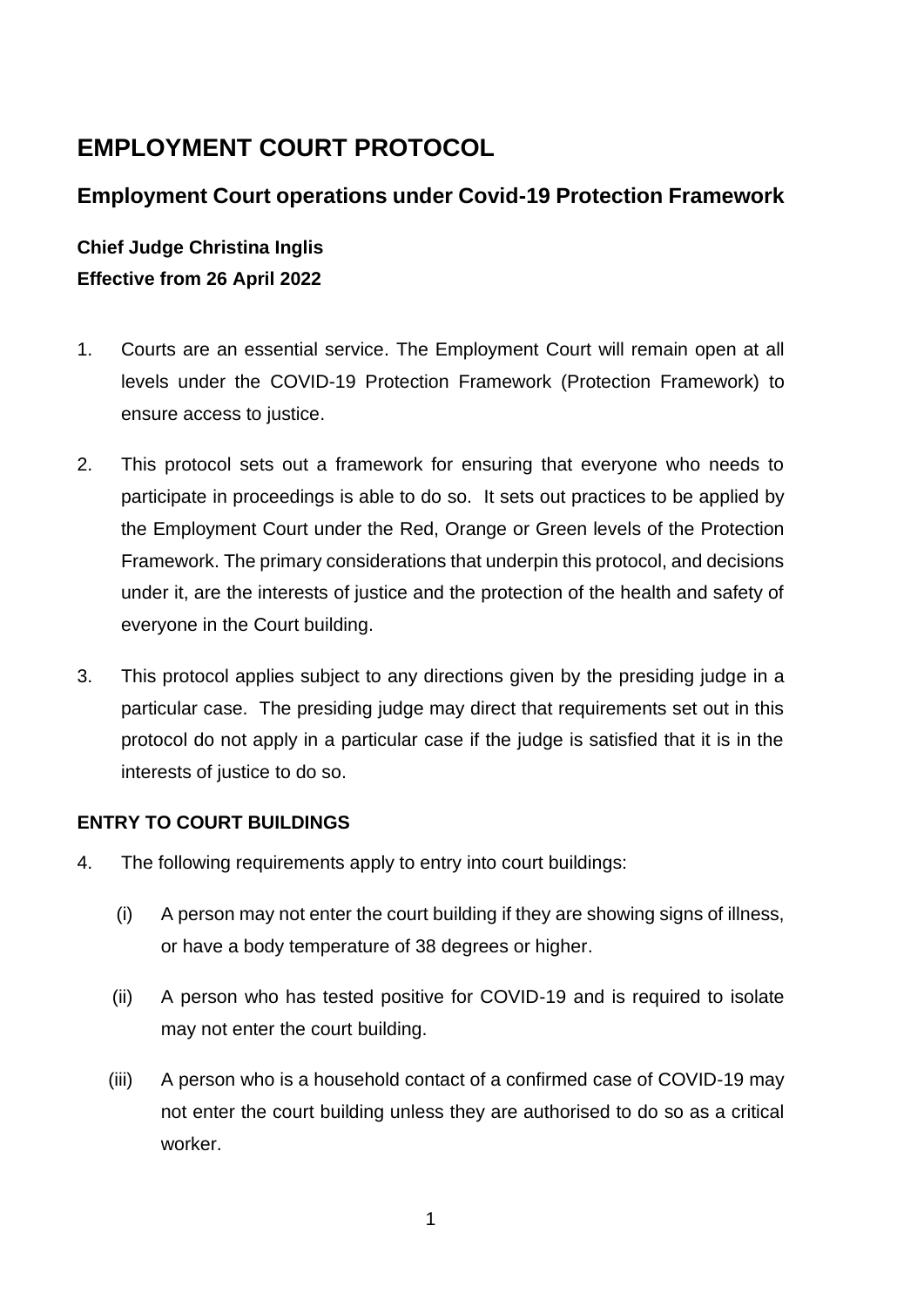# **EMPLOYMENT COURT PROTOCOL**

# **Employment Court operations under Covid-19 Protection Framework**

# **Chief Judge Christina Inglis Effective from 26 April 2022**

- 1. Courts are an essential service. The Employment Court will remain open at all levels under the COVID-19 Protection Framework (Protection Framework) to ensure access to justice.
- 2. This protocol sets out a framework for ensuring that everyone who needs to participate in proceedings is able to do so. It sets out practices to be applied by the Employment Court under the Red, Orange or Green levels of the Protection Framework. The primary considerations that underpin this protocol, and decisions under it, are the interests of justice and the protection of the health and safety of everyone in the Court building.
- 3. This protocol applies subject to any directions given by the presiding judge in a particular case. The presiding judge may direct that requirements set out in this protocol do not apply in a particular case if the judge is satisfied that it is in the interests of justice to do so.

### **ENTRY TO COURT BUILDINGS**

- 4. The following requirements apply to entry into court buildings:
	- (i) A person may not enter the court building if they are showing signs of illness, or have a body temperature of 38 degrees or higher.
	- (ii) A person who has tested positive for COVID-19 and is required to isolate may not enter the court building.
	- (iii) A person who is a household contact of a confirmed case of COVID-19 may not enter the court building unless they are authorised to do so as a critical worker.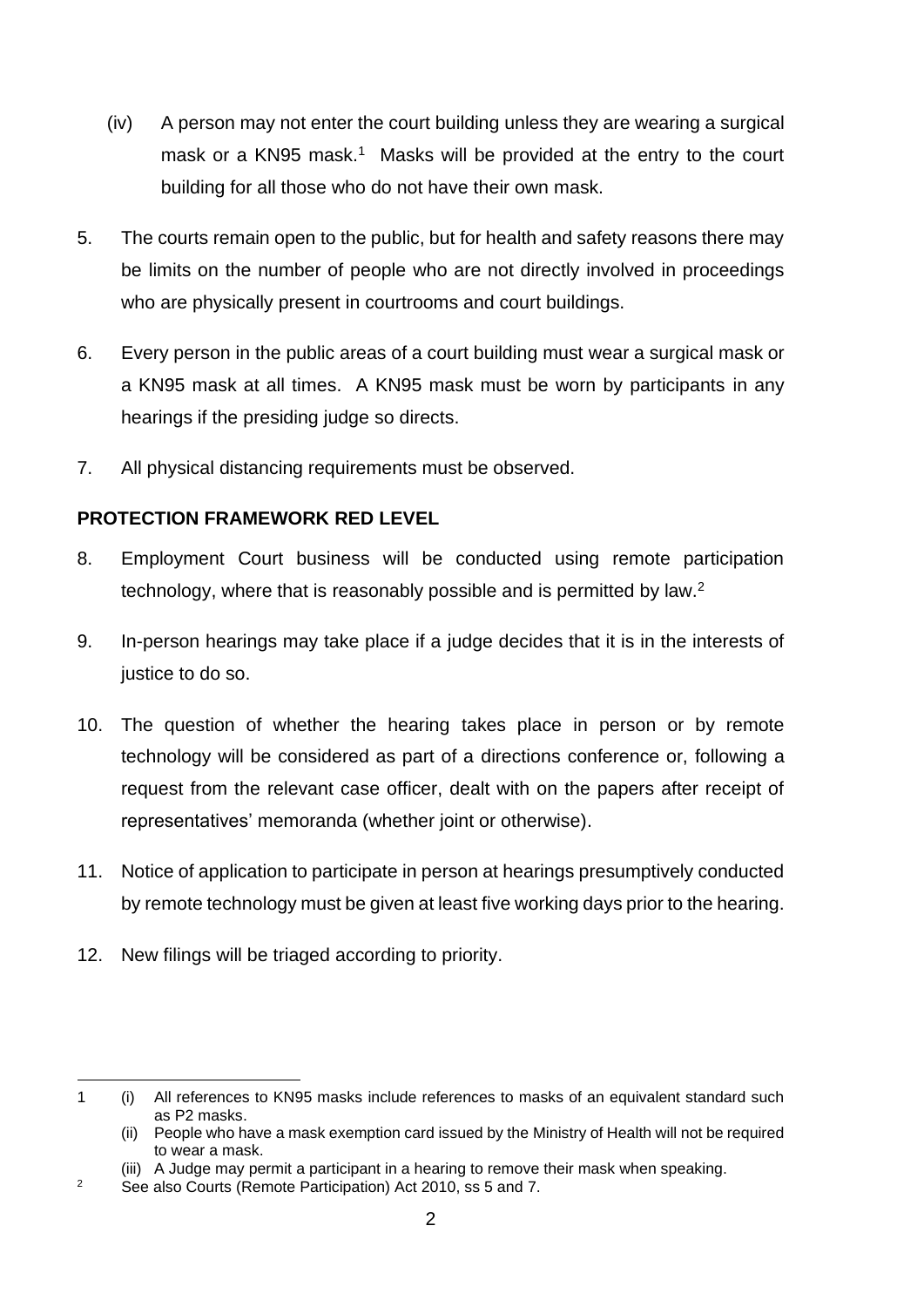- (iv) A person may not enter the court building unless they are wearing a surgical mask or a KN95 mask.<sup>1</sup> Masks will be provided at the entry to the court building for all those who do not have their own mask.
- 5. The courts remain open to the public, but for health and safety reasons there may be limits on the number of people who are not directly involved in proceedings who are physically present in courtrooms and court buildings.
- 6. Every person in the public areas of a court building must wear a surgical mask or a KN95 mask at all times. A KN95 mask must be worn by participants in any hearings if the presiding judge so directs.
- 7. All physical distancing requirements must be observed.

### **PROTECTION FRAMEWORK RED LEVEL**

- 8. Employment Court business will be conducted using remote participation technology, where that is reasonably possible and is permitted by law.<sup>2</sup>
- 9. In-person hearings may take place if a judge decides that it is in the interests of justice to do so.
- 10. The question of whether the hearing takes place in person or by remote technology will be considered as part of a directions conference or, following a request from the relevant case officer, dealt with on the papers after receipt of representatives' memoranda (whether joint or otherwise).
- 11. Notice of application to participate in person at hearings presumptively conducted by remote technology must be given at least five working days prior to the hearing.
- 12. New filings will be triaged according to priority.

<sup>1</sup> (i) All references to KN95 masks include references to masks of an equivalent standard such as P2 masks.

<sup>(</sup>ii) People who have a mask exemption card issued by the Ministry of Health will not be required to wear a mask.

<sup>(</sup>iii) A Judge may permit a participant in a hearing to remove their mask when speaking.

<sup>2</sup> See also Courts (Remote Participation) Act 2010, ss 5 and 7.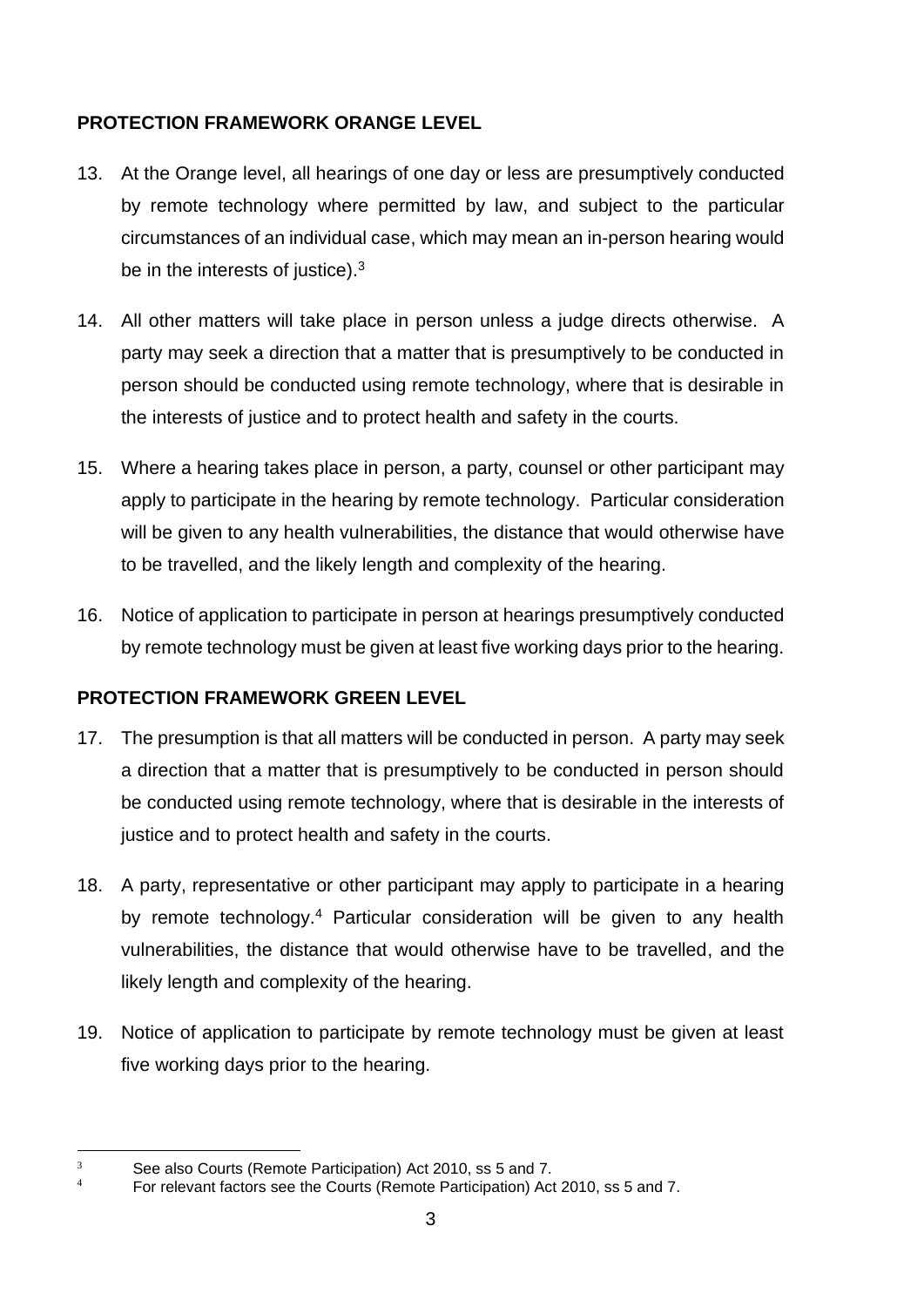# **PROTECTION FRAMEWORK ORANGE LEVEL**

- 13. At the Orange level, all hearings of one day or less are presumptively conducted by remote technology where permitted by law, and subject to the particular circumstances of an individual case, which may mean an in-person hearing would be in the interests of justice).<sup>3</sup>
- 14. All other matters will take place in person unless a judge directs otherwise. A party may seek a direction that a matter that is presumptively to be conducted in person should be conducted using remote technology, where that is desirable in the interests of justice and to protect health and safety in the courts.
- 15. Where a hearing takes place in person, a party, counsel or other participant may apply to participate in the hearing by remote technology. Particular consideration will be given to any health vulnerabilities, the distance that would otherwise have to be travelled, and the likely length and complexity of the hearing.
- 16. Notice of application to participate in person at hearings presumptively conducted by remote technology must be given at least five working days prior to the hearing.

# **PROTECTION FRAMEWORK GREEN LEVEL**

- 17. The presumption is that all matters will be conducted in person. A party may seek a direction that a matter that is presumptively to be conducted in person should be conducted using remote technology, where that is desirable in the interests of justice and to protect health and safety in the courts.
- 18. A party, representative or other participant may apply to participate in a hearing by remote technology.<sup>4</sup> Particular consideration will be given to any health vulnerabilities, the distance that would otherwise have to be travelled, and the likely length and complexity of the hearing.
- 19. Notice of application to participate by remote technology must be given at least five working days prior to the hearing.

 $3$  See also Courts (Remote Participation) Act 2010, ss 5 and 7.

<sup>4</sup> For relevant factors see the Courts (Remote Participation) Act 2010, ss 5 and 7.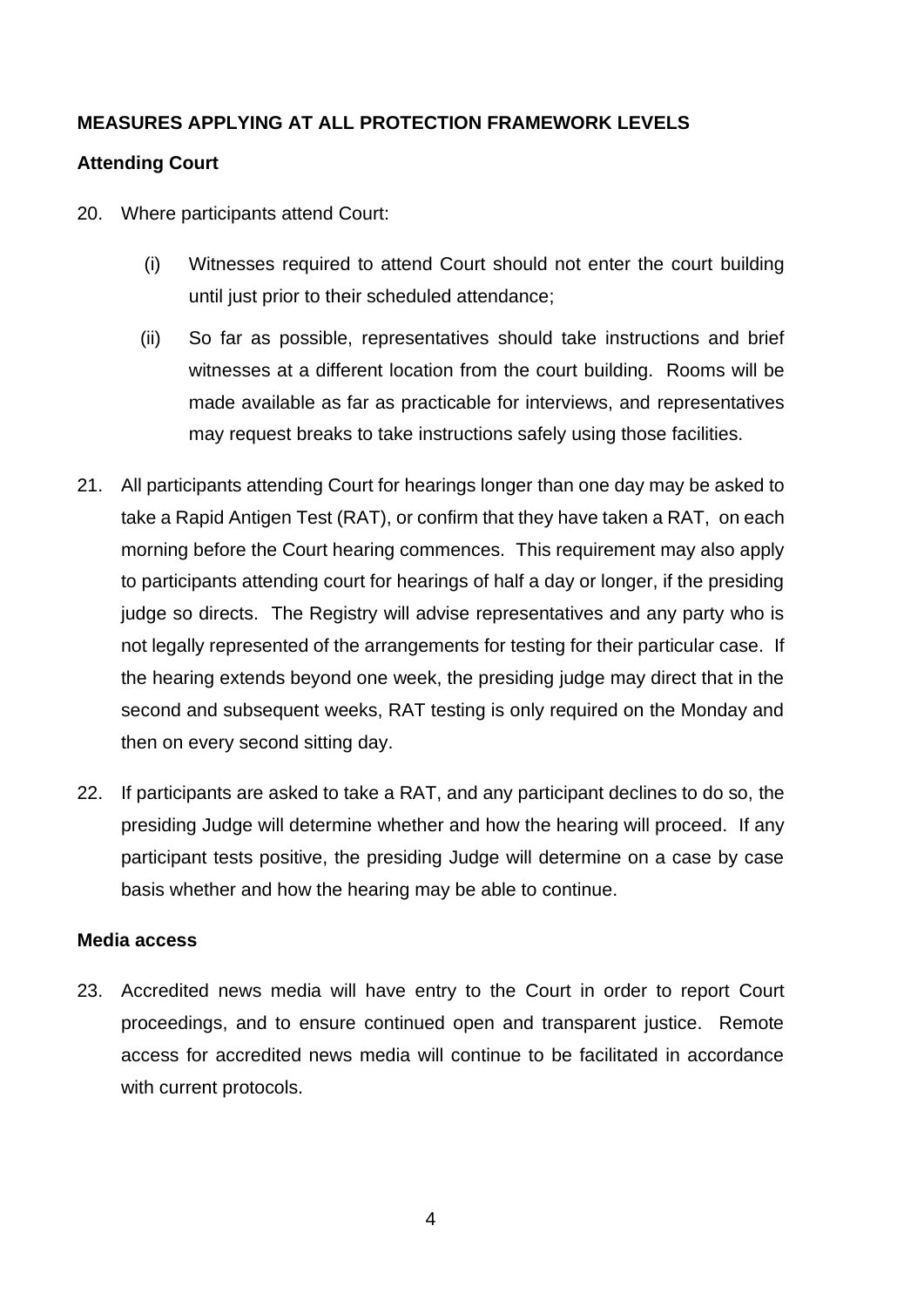### **MEASURES APPLYING AT ALL PROTECTION FRAMEWORK LEVELS**

### **Attending Court**

- 20. Where participants attend Court:
	- (i) Witnesses required to attend Court should not enter the court building until just prior to their scheduled attendance;
	- (ii) So far as possible, representatives should take instructions and brief witnesses at a different location from the court building. Rooms will be made available as far as practicable for interviews, and representatives may request breaks to take instructions safely using those facilities.
- 21. All participants attending Court for hearings longer than one day may be asked to take a Rapid Antigen Test (RAT), or confirm that they have taken a RAT, on each morning before the Court hearing commences. This requirement may also apply to participants attending court for hearings of half a day or longer, if the presiding judge so directs. The Registry will advise representatives and any party who is not legally represented of the arrangements for testing for their particular case. If the hearing extends beyond one week, the presiding judge may direct that in the second and subsequent weeks, RAT testing is only required on the Monday and then on every second sitting day.
- 22. If participants are asked to take a RAT, and any participant declines to do so, the presiding Judge will determine whether and how the hearing will proceed. If any participant tests positive, the presiding Judge will determine on a case by case basis whether and how the hearing may be able to continue.

#### **Media access**

23. Accredited news media will have entry to the Court in order to report Court proceedings, and to ensure continued open and transparent justice. Remote access for accredited news media will continue to be facilitated in accordance with current protocols.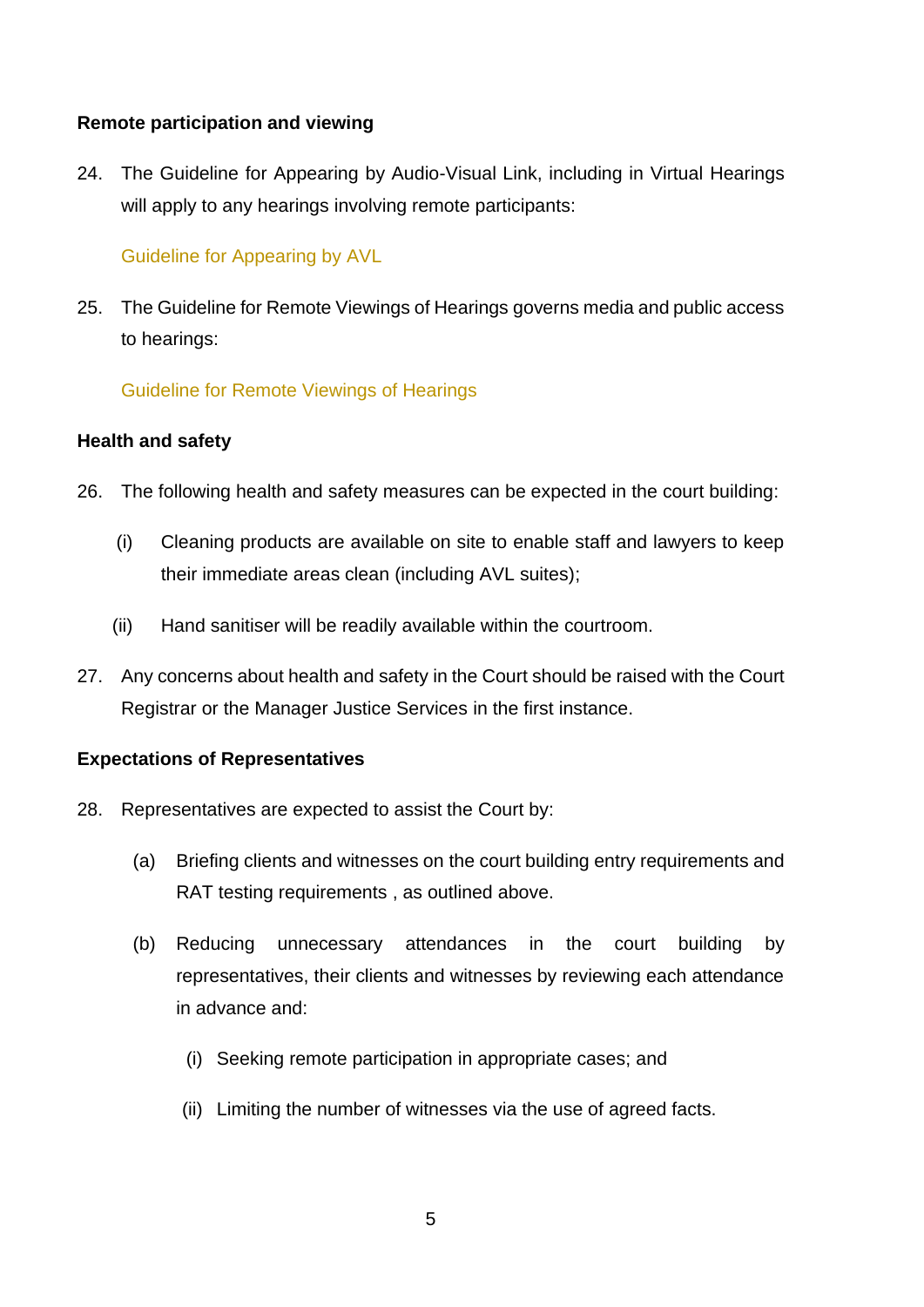#### **Remote participation and viewing**

24. [The Guideline for Appearing by Audio-Visual Link, including in Virtual](https://www.courtsofnz.govt.nz/publications/announcements/covid-19/court-protocols/court-of-appeal/#remote-hearings-protocol) Hearings will apply to any hearings involving remote participants:

#### [Guideline for Appearing by AVL](https://employmentcourt.govt.nz/assets/Documents/Publications/Guideline-for-appearing-by-Audio-Visual-Link-including-Virtual-Hearings-February-2022.pdf)

25. The Guideline [for Remote Viewings of Hearings](https://www.courtsofnz.govt.nz/publications/announcements/covid-19/court-protocols/court-of-appeal/#remote-hearings-protocol) governs media and public access to hearings:

[Guideline for Remote Viewings of Hearings](https://employmentcourt.govt.nz/assets/Documents/Publications/Guideline-for-Remote-Viewing-of-Hearings1-February-2022.pdf)

#### **Health and safety**

- 26. The following health and safety measures can be expected in the court building:
	- (i) Cleaning products are available on site to enable staff and lawyers to keep their immediate areas clean (including AVL suites);
	- (ii) Hand sanitiser will be readily available within the courtroom.
- 27. Any concerns about health and safety in the Court should be raised with the Court Registrar or the Manager Justice Services in the first instance.

#### **Expectations of Representatives**

- 28. Representatives are expected to assist the Court by:
	- (a) Briefing clients and witnesses on the court building entry requirements and RAT testing requirements , as outlined above.
	- (b) Reducing unnecessary attendances in the court building by representatives, their clients and witnesses by reviewing each attendance in advance and:
		- (i) Seeking remote participation in appropriate cases; and
		- (ii) Limiting the number of witnesses via the use of agreed facts.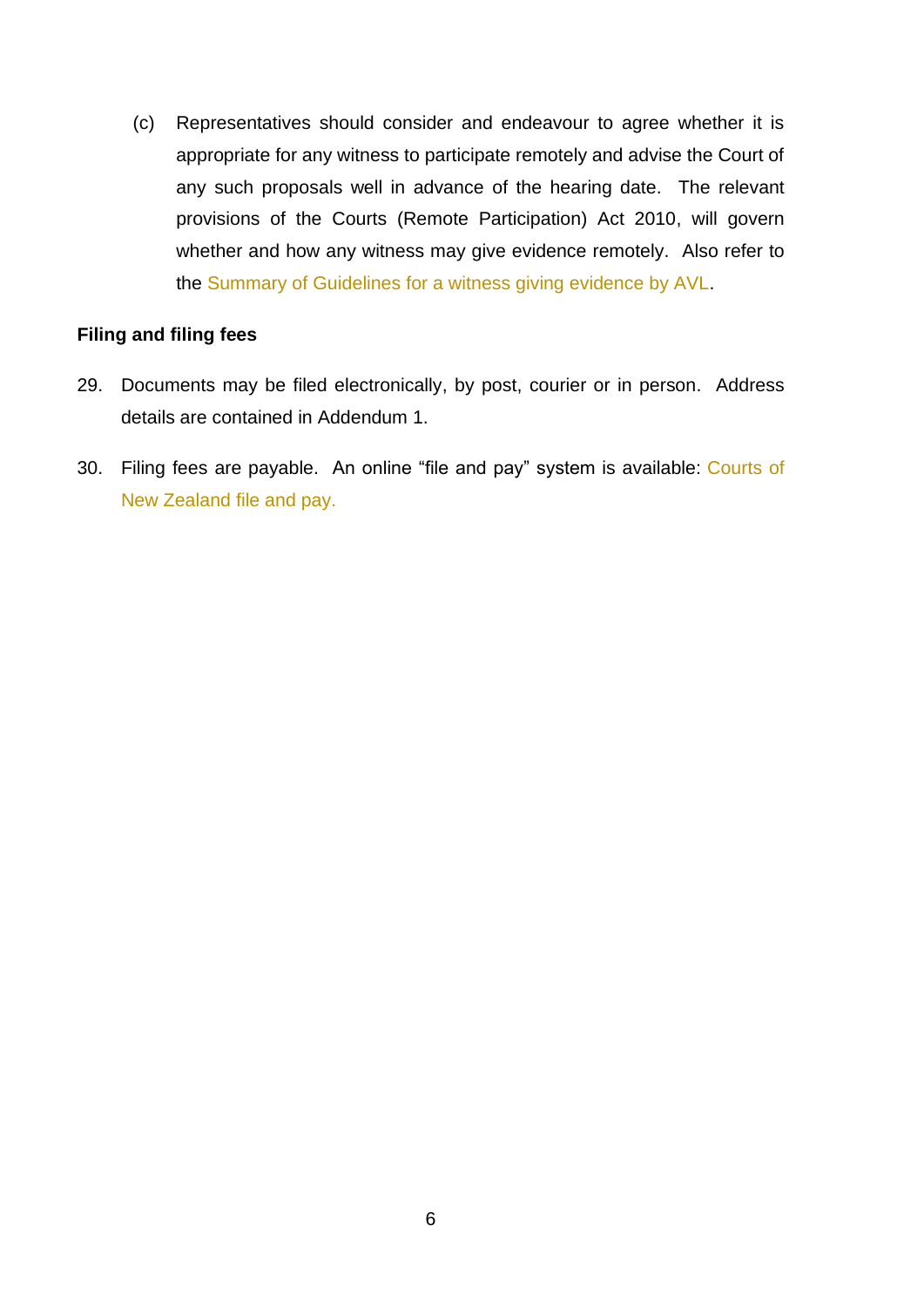(c) Representatives should consider and endeavour to agree whether it is appropriate for any witness to participate remotely and advise the Court of any such proposals well in advance of the hearing date. The relevant provisions of the Courts (Remote Participation) Act 2010, will govern whether and how any witness may give evidence remotely. Also refer to the [Summary of Guidelines for a witness giving evidence by AVL.](https://employmentcourt.govt.nz/assets/Documents/Publications/Summary-of-Guidelines-for-a-witness-giving-evidence-by-AVL-September-2021.pdf)

#### **Filing and filing fees**

- 29. Documents may be filed electronically, by post, courier or in person. Address details are contained in Addendum 1.
- 30. Filing fees are payable. An online "file and pay" system is available: [Courts of](https://www.courtsofnz.govt.nz/file-and-pay/)  [New Zealand file and pay.](https://www.courtsofnz.govt.nz/file-and-pay/)